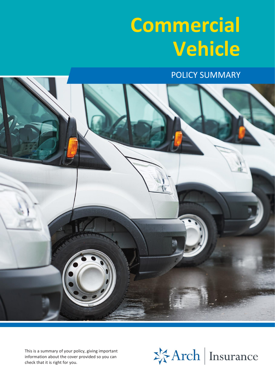# **Commercial Vehicle**

POLICY SUMMARY



This is a summary of your policy, giving important information about the cover provided so you can check that it is right for you.

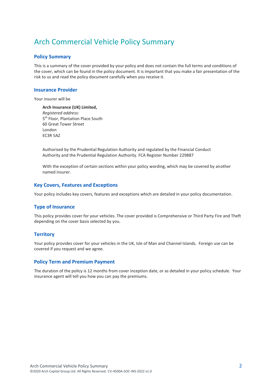## Arch Commercial Vehicle Policy Summary

## **Policy Summary**

This is a summary of the cover provided by your policy and does not contain the full terms and conditions of the cover, which can be found in the policy document. It is important that you make a fair presentation of the risk to us and read the policy document carefully when you receive it.

## **Insurance Provider**

Your insurer will be

**Arch Insurance (UK) Limited,** *Registered address:*  5 th Floor, Plantation Place South 60 Great Tower Street London EC3R 5AZ

Authorised by the Prudential Regulation Authority and regulated by the Financial Conduct Authority and the Prudential Regulation Authority. FCA Register Number 229887

With the exception of certain sections within your policy wording, which may be covered by another named insurer.

## **Key Covers, Features and Exceptions**

Your policy includes key covers, features and exceptions which are detailed in your policy documentation.

## **Type of Insurance**

This policy provides cover for your vehicles. The cover provided is Comprehensive or Third Party Fire and Theft depending on the cover basis selected by you.

## **Territory**

Your policy provides cover for your vehicles in the UK, Isle of Man and Channel Islands. Foreign use can be covered if you request and we agree.

## **Policy Term and Premium Payment**

The duration of the policy is 12 months from cover inception date, or as detailed in your policy schedule. Your insurance agent will tell you how you can pay the premiums.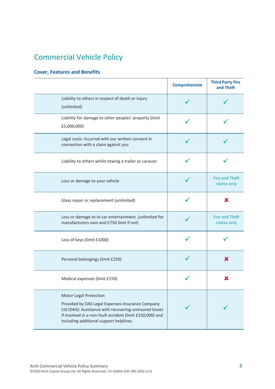# Commercial Vehicle Policy

## **Cover, Features and Benefits**

|                                                                                                                                                                                                                                             | <b>Comprehensive</b> | <b>Third Party Fire</b><br>and Theft |
|---------------------------------------------------------------------------------------------------------------------------------------------------------------------------------------------------------------------------------------------|----------------------|--------------------------------------|
| Liability to others in respect of death or injury<br>(unlimited)                                                                                                                                                                            |                      |                                      |
| Liability for damage to other peoples' property (limit<br>£5,000,000)                                                                                                                                                                       |                      |                                      |
| Legal costs: incurred with our written consent in<br>connection with a claim against you                                                                                                                                                    |                      |                                      |
| Liability to others whilst towing a trailer or caravan                                                                                                                                                                                      |                      |                                      |
| Loss or damage to your vehicle                                                                                                                                                                                                              |                      | <b>Fire and Theft</b><br>claims only |
| Glass repair or replacement (unlimited)                                                                                                                                                                                                     |                      | X                                    |
| Loss or damage to in-car entertainment, (unlimited for<br>manufacturers own and £750 limit if not)                                                                                                                                          |                      | <b>Fire and Theft</b><br>claims only |
| Loss of keys (limit £1000)                                                                                                                                                                                                                  |                      |                                      |
| Personal belongings (limit £250)                                                                                                                                                                                                            |                      | Х                                    |
| Medical expenses (limit £250)                                                                                                                                                                                                               |                      |                                      |
| Motor Legal Protection<br>Provided by DAS Legal Expenses Insurance Company<br>Ltd (DAS): Assistance with recovering uninsured losses<br>if involved in a non-fault accident (limit £250,000) and<br>including additional support helplines. |                      |                                      |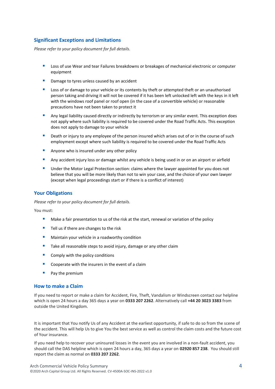## **Significant Exceptions and Limitations**

*Please refer to your policy document for full details.*

- **E** Loss of use Wear and tear Failures breakdowns or breakages of mechanical electronic or computer equipment
- Damage to tyres unless caused by an accident
- Loss of or damage to your vehicle or its contents by theft or attempted theft or an unauthorised person taking and driving it will not be covered if it has been left unlocked left with the keys in it left with the windows roof panel or roof open (in the case of a convertible vehicle) or reasonable precautions have not been taken to protect it
- Any legal liability caused directly or indirectly by terrorism or any similar event. This exception does not apply where such liability is required to be covered under the Road Traffic Acts. This exception does not apply to damage to your vehicle
- Death or injury to any employee of the person insured which arises out of or in the course of such employment except where such liability is required to be covered under the Road Traffic Acts
- Anyone who is insured under any other policy
- Any accident injury loss or damage whilst any vehicle is being used in or on an airport or airfield
- **■** Under the Motor Legal Protection section: claims where the lawyer appointed for you does not believe that you will be more likely than not to win your case, and the choice of your own lawyer (except when legal proceedings start or if there is a conflict of interest)

## **Your Obligations**

*Please refer to your policy document for full details.*

You must:

- Make a fair presentation to us of the risk at the start, renewal or variation of the policy
- Tell us if there are changes to the risk
- Maintain your vehicle in a roadworthy condition
- Take all reasonable steps to avoid injury, damage or any other claim
- Comply with the policy conditions
- Cooperate with the insurers in the event of a claim
- Pay the premium

## **How to make a Claim**

If you need to report or make a claim for Accident, Fire, Theft, Vandalism or Windscreen contact our helpline which is open 24 hours a day 365 days a year on **0333 207 2262**. Alternatively call **+44 20 3023 3383** from outside the United Kingdom.

It is important that You notify Us of any Accident at the earliest opportunity, if safe to do so from the scene of the accident. This will help Us to give You the best service as well as control the claim costs and the future cost of Your insurance.

If you need help to recover your uninsured losses in the event you are involved in a non-fault accident, you should call the DAS helpline which is open 24 hours a day, 365 days a year on **02920 857 238**. You should still report the claim as normal on **0333 207 2262**.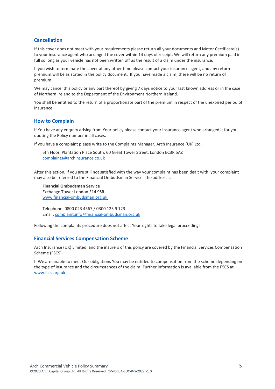## **Cancellation**

If this cover does not meet with your requirements please return all your documents and Motor Certificate(s) to your insurance agent who arranged the cover within 14 days of receipt. We will return any premium paid in full so long as your vehicle has not been written off as the result of a claim under the insurance.

If you wish to terminate the cover at any other time please contact your insurance agent, and any return premium will be as stated in the policy document. If you have made a claim, there will be no return of premium.

We may cancel this policy or any part thereof by giving 7 days notice to your last known address or in the case of Northern Ireland to the Department of the Environment Northern Ireland.

You shall be entitled to the return of a proportionate part of the premium in respect of the unexpired period of insurance.

## **How to Complain**

If You have any enquiry arising from Your policy please contact your insurance agent who arranged it for you, quoting the Policy number in all cases.

If you have a complaint please write to the Complaints Manager, Arch Insurance (UK) Ltd,

5th Floor, Plantation Place South, 60 Great Tower Street, London EC3R 5AZ [complaints@archinsurance.co.uk](mailto:complaints@archinsurance.co.uk)

After this action, if you are still not satisfied with the way your complaint has been dealt with, your complaint may also be referred to the Financial Ombudsman Service. The address is:

**Financial Ombudsman Service**  Exchange Tower London E14 9SR [www.financial-ombudsman.org.uk](http://www.financial-ombudsman.org.uk/)

Telephone: 0800 023 4567 / 0300 123 9 123 Email: [complaint.info@financial-ombudsman.org.uk](mailto:complaint.info@financial-ombudsman.org.uk)

Following the complaints procedure does not affect Your rights to take legal proceedings

### **Financial Services Compensation Scheme**

Arch Insurance (UK) Limited, and the insurers of this policy are covered by the Financial Services Compensation Scheme (FSCS).

If We are unable to meet Our obligations You may be entitled to compensation from the scheme depending on the type of insurance and the circumstances of the claim. Further information is available from the FSCS at [www.fscs.org.uk](file:///C:/Users/ppollard/Downloads/www.fscs.org.uk)